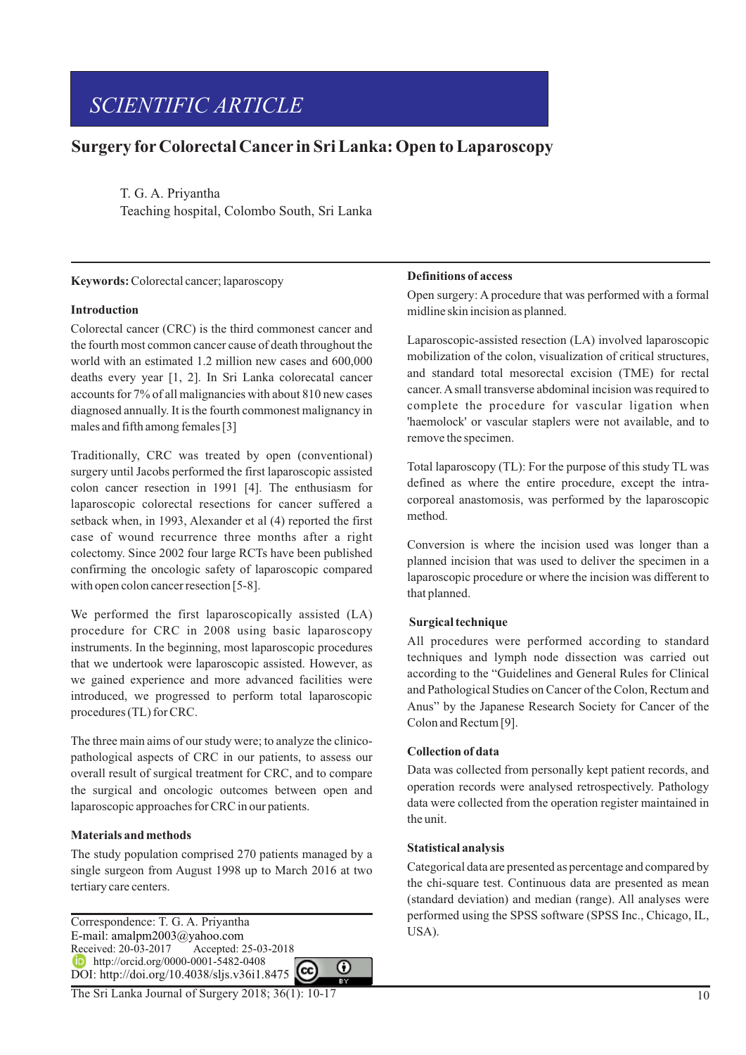# *SCIENTIFIC ARTICLE*

## **Surgery forColorectal Cancer in Sri Lanka: Open to Laparoscopy**

T. G. A. Priyantha Teaching hospital, Colombo South, Sri Lanka

#### **Keywords:** Colorectal cancer; laparoscopy

## **Introduction**

Colorectal cancer (CRC) is the third commonest cancer and the fourth most common cancer cause of death throughout the world with an estimated 1.2 million new cases and 600,000 deaths every year [1, 2]. In Sri Lanka colorecatal cancer accounts for 7% of all malignancies with about 810 new cases diagnosed annually. It is the fourth commonest malignancy in males and fifth among females [3]

Traditionally, CRC was treated by open (conventional) surgery until Jacobs performed the first laparoscopic assisted colon cancer resection in 1991 [4]. The enthusiasm for laparoscopic colorectal resections for cancer suffered a setback when, in 1993, Alexander et al (4) reported the first case of wound recurrence three months after a right colectomy. Since 2002 four large RCTs have been published confirming the oncologic safety of laparoscopic compared with open colon cancer resection [5-8].

We performed the first laparoscopically assisted (LA) procedure for CRC in 2008 using basic laparoscopy instruments. In the beginning, most laparoscopic procedures that we undertook were laparoscopic assisted. However, as we gained experience and more advanced facilities were introduced, we progressed to perform total laparoscopic procedures (TL) for CRC.

The three main aims of our study were; to analyze the clinicopathological aspects of CRC in our patients, to assess our overall result of surgical treatment for CRC, and to compare the surgical and oncologic outcomes between open and laparoscopic approaches for CRC in our patients.

#### **Materials and methods**

The study population comprised 270 patients managed by a single surgeon from August 1998 up to March 2016 at two tertiary care centers.

Correspondence: T. G. A. Priyantha E-mail: amalpm2003@yahoo.com Received: 20-03-2017 Accepted: 25-03-2018 http://orcid.org/0000-0001-5482-0408 DOI: http://doi.org/10.4038/sljs.v36i1.8475

#### **Definitions of access**

Open surgery: A procedure that was performed with a formal midline skin incision as planned.

Laparoscopic-assisted resection (LA) involved laparoscopic mobilization of the colon, visualization of critical structures, and standard total mesorectal excision (TME) for rectal cancer. Asmall transverse abdominal incision was required to complete the procedure for vascular ligation when 'haemolock' or vascular staplers were not available, and to remove the specimen.

Total laparoscopy (TL): For the purpose of this study TL was defined as where the entire procedure, except the intracorporeal anastomosis, was performed by the laparoscopic method.

Conversion is where the incision used was longer than a planned incision that was used to deliver the specimen in a laparoscopic procedure or where the incision was different to that planned.

#### **Surgical technique**

All procedures were performed according to standard techniques and lymph node dissection was carried out according to the "Guidelines and General Rules for Clinical and Pathological Studies on Cancer of the Colon, Rectum and Anus" by the Japanese Research Society for Cancer of the Colon and Rectum [9].

#### **Collection of data**

Data was collected from personally kept patient records, and operation records were analysed retrospectively. Pathology data were collected from the operation register maintained in the unit.

#### **Statistical analysis**

⋒

Categorical data are presented as percentage and compared by the chi-square test. Continuous data are presented as mean (standard deviation) and median (range). All analyses were performed using the SPSS software (SPSS Inc., Chicago, IL, USA).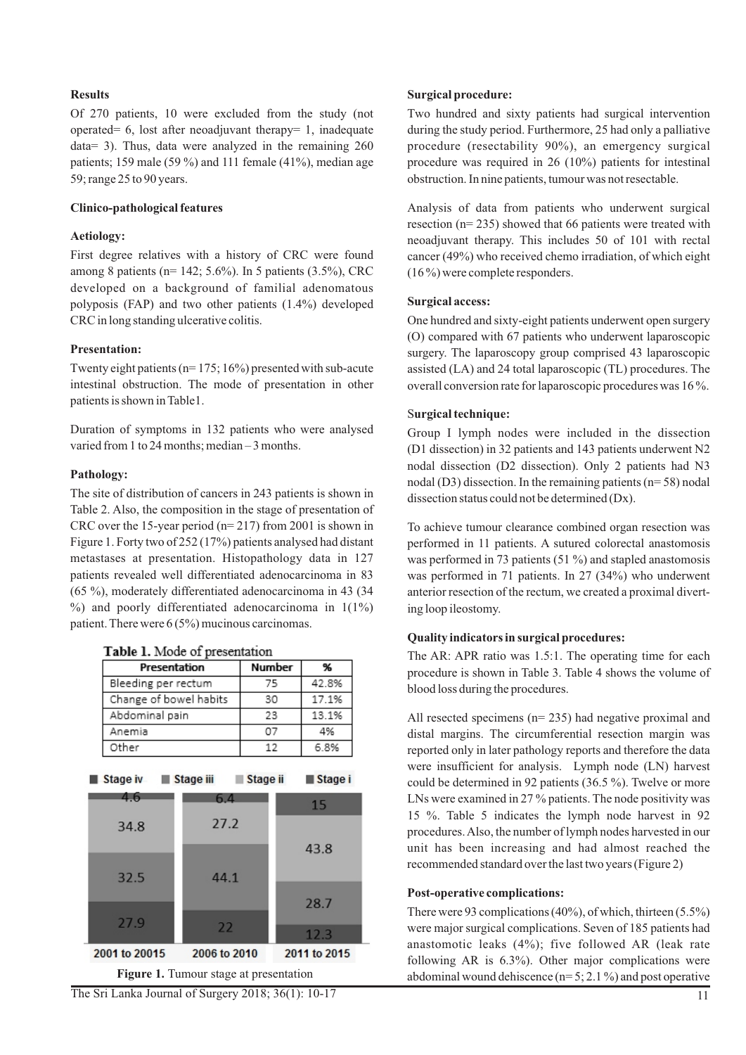## **Results**

Of 270 patients, 10 were excluded from the study (not operated= 6, lost after neoadjuvant therapy= 1, inadequate data= 3). Thus, data were analyzed in the remaining 260 patients; 159 male (59 %) and 111 female (41%), median age 59; range 25 to 90 years.

#### **Clinico-pathological features**

#### **Aetiology:**

First degree relatives with a history of CRC were found among 8 patients (n= 142; 5.6%). In 5 patients (3.5%), CRC developed on a background of familial adenomatous polyposis (FAP) and two other patients (1.4%) developed CRC in long standing ulcerative colitis.

## **Presentation:**

Twenty eight patients ( $n= 175$ ; 16%) presented with sub-acute intestinal obstruction. The mode of presentation in other patients is shown in Table1.

Duration of symptoms in 132 patients who were analysed varied from 1 to 24 months; median – 3 months.

## **Pathology:**

The site of distribution of cancers in 243 patients is shown in Table 2. Also, the composition in the stage of presentation of CRC over the 15-year period (n= 217) from 2001 is shown in Figure 1. Forty two of 252 (17%) patients analysed had distant metastases at presentation. Histopathology data in 127 patients revealed well differentiated adenocarcinoma in 83 (65 %), moderately differentiated adenocarcinoma in 43 (34  $\%$ ) and poorly differentiated adenocarcinoma in 1(1%) patient. There were 6 (5%) mucinous carcinomas.

| Table 1. Mode of presentation |               |           |  |  |
|-------------------------------|---------------|-----------|--|--|
| Presentation                  | <b>Number</b> | %         |  |  |
| Bleeding per rectum           | 75            | 42.8%     |  |  |
| Change of bowel habits        | 30            | 17.1%     |  |  |
| Abdominal pain                | 23            | 13.1%     |  |  |
| Anemia                        | 07            | 4%        |  |  |
| Other                         | 12            | 6.8%      |  |  |
| Stage iv<br>Stage iii         | Stage ii      | I Stage i |  |  |

|  |  |  | <b>Fable 1.</b> Mode of presentation |  |
|--|--|--|--------------------------------------|--|
|  |  |  |                                      |  |



## **Surgical procedure:**

Two hundred and sixty patients had surgical intervention during the study period. Furthermore, 25 had only a palliative procedure (resectability 90%), an emergency surgical procedure was required in 26 (10%) patients for intestinal obstruction. In nine patients, tumour was not resectable.

Analysis of data from patients who underwent surgical resection (n= 235) showed that 66 patients were treated with neoadjuvant therapy. This includes 50 of 101 with rectal cancer (49%) who received chemo irradiation, of which eight (16 %) were complete responders.

#### **Surgical access:**

One hundred and sixty-eight patients underwent open surgery (O) compared with 67 patients who underwent laparoscopic surgery. The laparoscopy group comprised 43 laparoscopic assisted (LA) and 24 total laparoscopic (TL) procedures. The overall conversion rate for laparoscopic procedures was 16 %.

## S**urgical technique:**

Group I lymph nodes were included in the dissection (D1 dissection) in 32 patients and 143 patients underwent N2 nodal dissection (D2 dissection). Only 2 patients had N3 nodal (D3) dissection. In the remaining patients (n= 58) nodal dissection status could not be determined (Dx).

To achieve tumour clearance combined organ resection was performed in 11 patients. A sutured colorectal anastomosis was performed in 73 patients (51 %) and stapled anastomosis was performed in 71 patients. In 27 (34%) who underwent anterior resection of the rectum, we created a proximal diverting loop ileostomy.

#### **Quality indicators in surgical procedures:**

The AR: APR ratio was 1.5:1. The operating time for each procedure is shown in Table 3. Table 4 shows the volume of blood loss during the procedures.

All resected specimens (n= 235) had negative proximal and distal margins. The circumferential resection margin was reported only in later pathology reports and therefore the data were insufficient for analysis. Lymph node (LN) harvest could be determined in 92 patients (36.5 %). Twelve or more LNs were examined in 27 % patients. The node positivity was 15 %. Table 5 indicates the lymph node harvest in 92 procedures. Also, the number of lymph nodes harvested in our unit has been increasing and had almost reached the recommended standard over the last two years (Figure 2)

#### **Post-operative complications:**

There were 93 complications (40%), of which, thirteen (5.5%) were major surgical complications. Seven of 185 patients had anastomotic leaks (4%); five followed AR (leak rate following AR is 6.3%). Other major complications were abdominal wound dehiscence  $(n= 5; 2.1 \%)$  and post operative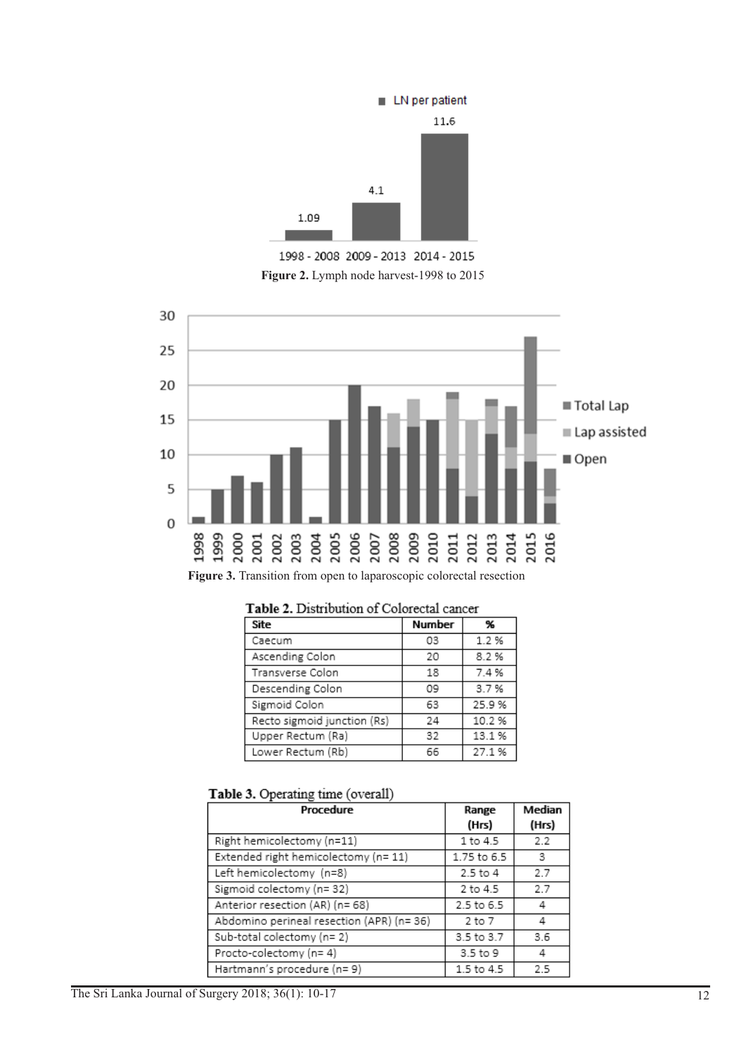

1998 - 2008 2009 - 2013 2014 - 2015 **Figure 2.** Lymph node harvest-1998 to 2015



Figure 3. Transition from open to laparoscopic colorectal resection

| Site                        | <b>Number</b> | %     |
|-----------------------------|---------------|-------|
| Caecum                      | 03            | 1.2 % |
| Ascending Colon             | 20            | 8.2%  |
| Transverse Colon            | 18            | 7.4%  |
| Descending Colon            | 09            | 3.7%  |
| Sigmoid Colon               | 63            | 25.9% |
| Recto sigmoid junction (Rs) | 24            | 10.2% |
| Upper Rectum (Ra)           | 32            | 13.1% |
| Lower Rectum (Rb)           | 66            | 27.1% |

Table 2. Distribution of Colorectal cancer

| Procedure                                 | Range<br>(Hrs) | Median<br>(Hrs) |
|-------------------------------------------|----------------|-----------------|
| Right hemicolectomy (n=11)                | 1 to 4.5       | 2.2             |
| Extended right hemicolectomy (n= 11)      | 1.75 to 6.5    | 3               |
| Left hemicolectomy (n=8)                  | 2.5 to 4       | 2.7             |
| Sigmoid colectomy (n= 32)                 | 2 to 4.5       | 2.7             |
| Anterior resection (AR) (n= 68)           | 2.5 to 6.5     | 4               |
| Abdomino perineal resection (APR) (n= 36) | 2 to 7         | 4               |
| Sub-total colectomy (n= 2)                | 3.5 to 3.7     | 3.6             |
| Procto-colectomy (n= 4)                   | 3.5 to 9       | 4               |
| Hartmann's procedure (n=9)                | 1.5 to 4.5     | 2.5             |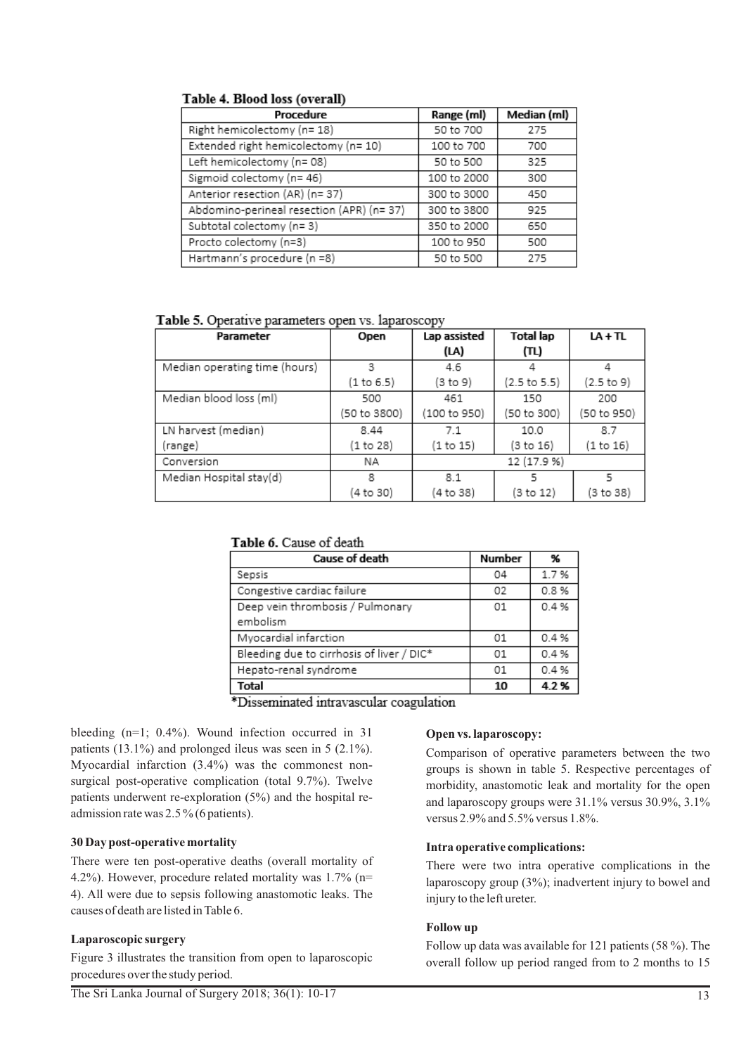## Table 4. Blood loss (overall)

| Procedure                                 | Range (ml)  | Median (ml) |
|-------------------------------------------|-------------|-------------|
| Right hemicolectomy (n= 18)               | 50 to 700   | 275         |
| Extended right hemicolectomy (n= 10)      | 100 to 700  | 700         |
| Left hemicolectomy (n= 08)                | 50 to 500   | 325         |
| Sigmoid colectomy (n= 46)                 | 100 to 2000 | 300         |
| Anterior resection (AR) (n= 37)           | 300 to 3000 | 450         |
| Abdomino-perineal resection (APR) (n= 37) | 300 to 3800 | 925         |
| Subtotal colectomy (n= 3)                 | 350 to 2000 | 650         |
| Procto colectomy (n=3)                    | 100 to 950  | 500         |
| Hartmann's procedure (n =8)               | 50 to 500   | 275         |

Table 5. Operative parameters open vs. laparoscopy

| Parameter                     | Open         | Lap assisted | Total lap    | $LA + TL$   |
|-------------------------------|--------------|--------------|--------------|-------------|
|                               |              | (LA)         | (TL)         |             |
| Median operating time (hours) | 3            | 4.6          | 4            |             |
|                               | (1 to 6.5)   | (3 to 9)     | (2.5 to 5.5) | (2.5 to 9)  |
| Median blood loss (ml)        | 500          | 461          | 150          | 200         |
|                               | (50 to 3800) | (100 to 950) | (50 to 300)  | (50 to 950) |
| LN harvest (median)           | 8.44         | 7.1          | 10.0         | 8.7         |
| (range)                       | (1 to 28)    | (1 to 15)    | (3 to 16)    | (1 to 16)   |
| Conversion                    | ΝA           |              | 12 (17.9 %)  |             |
| Median Hospital stay(d)       | 8            | 8.1          | 5            | 5           |
|                               | 4 to 30)     | (4 to 38)    | (3 to 12)    | 3 to 38)    |

## Table 6. Cause of death

| Cause of death                            | <b>Number</b> | %    |
|-------------------------------------------|---------------|------|
| Sepsis                                    | 04            | 1.7% |
| Congestive cardiac failure                | 02            | 0.8% |
| Deep vein thrombosis / Pulmonary          | 01            | 0.4% |
| embolism                                  |               |      |
| Myocardial infarction                     | 01            | 0.4% |
| Bleeding due to cirrhosis of liver / DIC* | 01            | 0.4% |
| Hepato-renal syndrome                     | 01            | 0.4% |
| Total                                     | 10            | 4.2% |

\*Disseminated intravascular coagulation

bleeding (n=1; 0.4%). Wound infection occurred in 31 patients (13.1%) and prolonged ileus was seen in 5 (2.1%). Myocardial infarction (3.4%) was the commonest nonsurgical post-operative complication (total 9.7%). Twelve patients underwent re-exploration (5%) and the hospital readmission rate was 2.5 % (6 patients).

## **30 Day post-operative mortality**

There were ten post-operative deaths (overall mortality of 4.2%). However, procedure related mortality was 1.7% (n= 4). All were due to sepsis following anastomotic leaks. The causes of death are listed in Table 6.

## **Laparoscopic surgery**

Figure 3 illustrates the transition from open to laparoscopic procedures over the study period.

#### **Open vs. laparoscopy:**

Comparison of operative parameters between the two groups is shown in table 5. Respective percentages of morbidity, anastomotic leak and mortality for the open and laparoscopy groups were 31.1% versus 30.9%, 3.1% versus 2.9% and 5.5% versus 1.8%.

## **Intra operative complications:**

There were two intra operative complications in the laparoscopy group (3%); inadvertent injury to bowel and injury to the left ureter.

## **Follow up**

Follow up data was available for 121 patients (58 %). The overall follow up period ranged from to 2 months to 15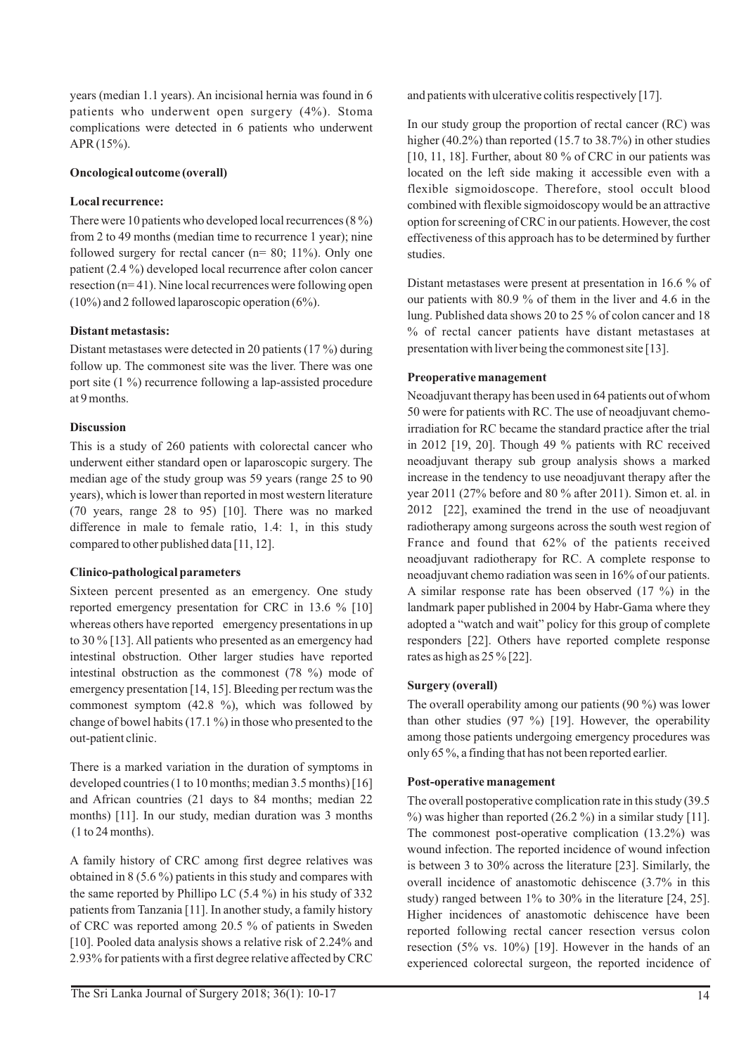years (median 1.1 years). An incisional hernia was found in 6 patients who underwent open surgery (4%). Stoma complications were detected in 6 patients who underwent APR (15%).

## **Oncological outcome (overall)**

## **Local recurrence:**

There were 10 patients who developed local recurrences (8 %) from 2 to 49 months (median time to recurrence 1 year); nine followed surgery for rectal cancer (n= 80; 11%). Only one patient (2.4 %) developed local recurrence after colon cancer resection (n= 41). Nine local recurrences were following open  $(10\%)$  and 2 followed laparoscopic operation  $(6\%)$ .

## **Distant metastasis:**

Distant metastases were detected in 20 patients (17 %) during follow up. The commonest site was the liver. There was one port site (1 %) recurrence following a lap-assisted procedure at 9 months.

## **Discussion**

This is a study of 260 patients with colorectal cancer who underwent either standard open or laparoscopic surgery. The median age of the study group was 59 years (range 25 to 90 years), which is lower than reported in most western literature (70 years, range 28 to 95) [10]. There was no marked difference in male to female ratio, 1.4: 1, in this study compared to other published data [11, 12].

## **Clinico-pathological parameters**

Sixteen percent presented as an emergency. One study reported emergency presentation for CRC in 13.6 % [10] whereas others have reported emergency presentations in up to 30 % [13]. All patients who presented as an emergency had intestinal obstruction. Other larger studies have reported intestinal obstruction as the commonest (78 %) mode of emergency presentation [14, 15]. Bleeding per rectum was the commonest symptom  $(42.8 \text{ %})$ , which was followed by change of bowel habits (17.1 %) in those who presented to the out-patient clinic.

There is a marked variation in the duration of symptoms in developed countries (1 to 10 months; median 3.5 months) [16] and African countries (21 days to 84 months; median 22 months) [11]. In our study, median duration was 3 months (1 to 24 months).

A family history of CRC among first degree relatives was obtained in 8 (5.6 %) patients in this study and compares with the same reported by Phillipo LC (5.4 %) in his study of 332 patients from Tanzania [11]. In another study, a family history of CRC was reported among 20.5 % of patients in Sweden [10]. Pooled data analysis shows a relative risk of 2.24% and 2.93% for patients with a first degree relative affected by CRC

and patients with ulcerative colitis respectively [17].

In our study group the proportion of rectal cancer (RC) was higher (40.2%) than reported (15.7 to 38.7%) in other studies [10, 11, 18]. Further, about 80 % of CRC in our patients was located on the left side making it accessible even with a flexible sigmoidoscope. Therefore, stool occult blood combined with flexible sigmoidoscopy would be an attractive option for screening of CRC in our patients. However, the cost effectiveness of this approach has to be determined by further studies.

Distant metastases were present at presentation in 16.6 % of our patients with 80.9 % of them in the liver and 4.6 in the lung. Published data shows 20 to 25 % of colon cancer and 18 % of rectal cancer patients have distant metastases at presentation with liver being the commonest site [13].

## **Preoperative management**

Neoadjuvant therapy has been used in 64 patients out of whom 50 were for patients with RC. The use of neoadjuvant chemoirradiation for RC became the standard practice after the trial in 2012 [19, 20]. Though 49 % patients with RC received neoadjuvant therapy sub group analysis shows a marked increase in the tendency to use neoadjuvant therapy after the year 2011 (27% before and 80 % after 2011). Simon et. al. in 2012 [22], examined the trend in the use of neoadjuvant radiotherapy among surgeons across the south west region of France and found that 62% of the patients received neoadjuvant radiotherapy for RC. A complete response to neoadjuvant chemo radiation was seen in 16% of our patients. A similar response rate has been observed (17 %) in the landmark paper published in 2004 by Habr-Gama where they adopted a "watch and wait" policy for this group of complete responders [22]. Others have reported complete response rates as high as 25 % [22].

## **Surgery (overall)**

The overall operability among our patients (90 %) was lower than other studies  $(97 \%)$  [19]. However, the operability among those patients undergoing emergency procedures was only 65 %, a finding that has not been reported earlier.

## **Post-operative management**

The overall postoperative complication rate in this study (39.5  $\%$ ) was higher than reported (26.2 %) in a similar study [11]. The commonest post-operative complication (13.2%) was wound infection. The reported incidence of wound infection is between 3 to 30% across the literature [23]. Similarly, the overall incidence of anastomotic dehiscence (3.7% in this study) ranged between 1% to 30% in the literature [24, 25]. Higher incidences of anastomotic dehiscence have been reported following rectal cancer resection versus colon resection (5% vs. 10%) [19]. However in the hands of an experienced colorectal surgeon, the reported incidence of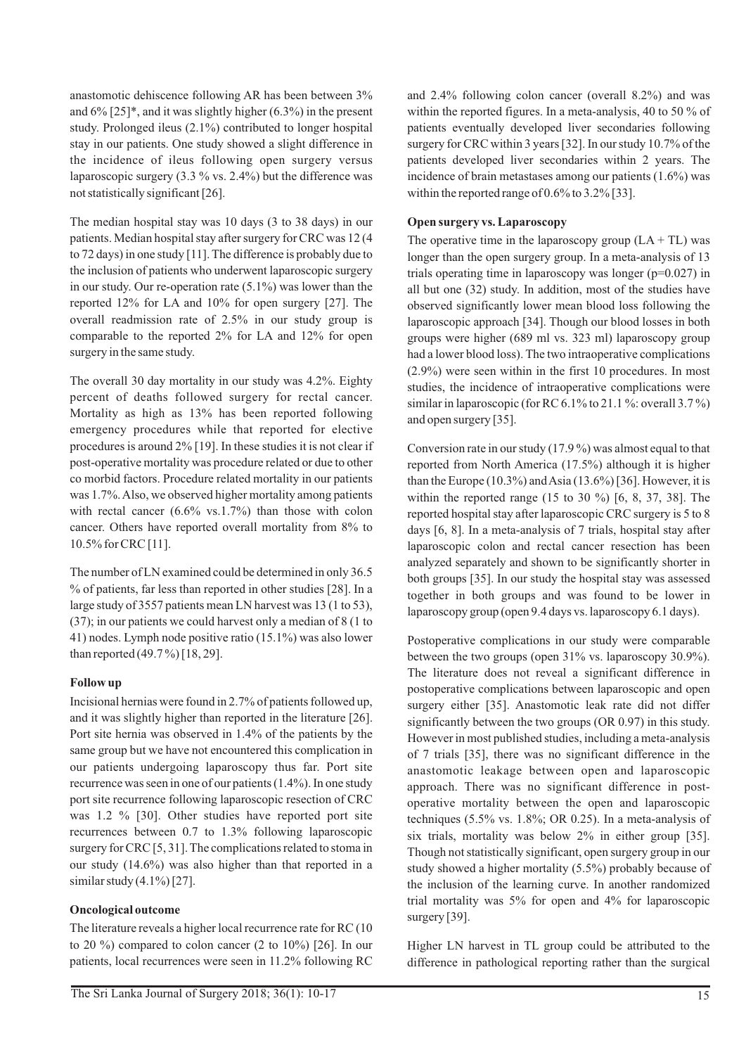anastomotic dehiscence following AR has been between 3% and 6% [25]\*, and it was slightly higher (6.3%) in the present study. Prolonged ileus (2.1%) contributed to longer hospital stay in our patients. One study showed a slight difference in the incidence of ileus following open surgery versus laparoscopic surgery (3.3 % vs. 2.4%) but the difference was not statistically significant [26].

The median hospital stay was 10 days (3 to 38 days) in our patients. Median hospital stay after surgery for CRC was 12 (4 to 72 days) in one study [11]. The difference is probably due to the inclusion of patients who underwent laparoscopic surgery in our study. Our re-operation rate (5.1%) was lower than the reported 12% for LA and 10% for open surgery [27]. The overall readmission rate of 2.5% in our study group is comparable to the reported 2% for LA and 12% for open surgery in the same study.

The overall 30 day mortality in our study was 4.2%. Eighty percent of deaths followed surgery for rectal cancer. Mortality as high as 13% has been reported following emergency procedures while that reported for elective procedures is around 2% [19]. In these studies it is not clear if post-operative mortality was procedure related or due to other co morbid factors. Procedure related mortality in our patients was 1.7%. Also, we observed higher mortality among patients with rectal cancer  $(6.6\% \text{ vs. } 1.7\%)$  than those with colon cancer. Others have reported overall mortality from 8% to 10.5% for CRC [11].

The number of LN examined could be determined in only 36.5 % of patients, far less than reported in other studies [28]. In a large study of 3557 patients mean LN harvest was 13 (1 to 53), (37); in our patients we could harvest only a median of 8 (1 to 41) nodes. Lymph node positive ratio (15.1%) was also lower than reported (49.7 %) [18, 29].

## **Follow up**

Incisional hernias were found in 2.7% of patients followed up, and it was slightly higher than reported in the literature [26]. Port site hernia was observed in 1.4% of the patients by the same group but we have not encountered this complication in our patients undergoing laparoscopy thus far. Port site recurrence was seen in one of our patients (1.4%). In one study port site recurrence following laparoscopic resection of CRC was 1.2 % [30]. Other studies have reported port site recurrences between 0.7 to 1.3% following laparoscopic surgery for CRC [5, 31]. The complications related to stoma in our study (14.6%) was also higher than that reported in a similar study  $(4.1\%)$  [27].

## **Oncological outcome**

The literature reveals a higher local recurrence rate for RC (10 to 20 %) compared to colon cancer (2 to  $10\%$ ) [26]. In our patients, local recurrences were seen in 11.2% following RC and 2.4% following colon cancer (overall 8.2%) and was within the reported figures. In a meta-analysis, 40 to 50 % of patients eventually developed liver secondaries following surgery for CRC within 3 years [32]. In our study 10.7% of the patients developed liver secondaries within 2 years. The incidence of brain metastases among our patients (1.6%) was within the reported range of 0.6% to 3.2% [33].

## **Open surgery vs. Laparoscopy**

The operative time in the laparoscopy group  $(LA + TL)$  was longer than the open surgery group. In a meta-analysis of 13 trials operating time in laparoscopy was longer  $(p=0.027)$  in all but one (32) study. In addition, most of the studies have observed significantly lower mean blood loss following the laparoscopic approach [34]. Though our blood losses in both groups were higher (689 ml vs. 323 ml) laparoscopy group had a lower blood loss). The two intraoperative complications (2.9%) were seen within in the first 10 procedures. In most studies, the incidence of intraoperative complications were similar in laparoscopic (for RC 6.1% to 21.1%: overall 3.7%) and open surgery [35].

Conversion rate in our study (17.9 %) was almost equal to that reported from North America (17.5%) although it is higher than the Europe (10.3%) and Asia (13.6%) [36]. However, it is within the reported range (15 to 30 %) [6, 8, 37, 38]. The reported hospital stay after laparoscopic CRC surgery is 5 to 8 days [6, 8]. In a meta-analysis of 7 trials, hospital stay after laparoscopic colon and rectal cancer resection has been analyzed separately and shown to be significantly shorter in both groups [35]. In our study the hospital stay was assessed together in both groups and was found to be lower in laparoscopy group (open 9.4 days vs. laparoscopy 6.1 days).

Postoperative complications in our study were comparable between the two groups (open 31% vs. laparoscopy 30.9%). The literature does not reveal a significant difference in postoperative complications between laparoscopic and open surgery either [35]. Anastomotic leak rate did not differ significantly between the two groups (OR 0.97) in this study. However in most published studies, including a meta-analysis of 7 trials [35], there was no significant difference in the anastomotic leakage between open and laparoscopic approach. There was no significant difference in postoperative mortality between the open and laparoscopic techniques (5.5% vs. 1.8%; OR 0.25). In a meta-analysis of six trials, mortality was below 2% in either group [35]. Though not statistically significant, open surgery group in our study showed a higher mortality (5.5%) probably because of the inclusion of the learning curve. In another randomized trial mortality was 5% for open and 4% for laparoscopic surgery [39].

Higher LN harvest in TL group could be attributed to the difference in pathological reporting rather than the surgical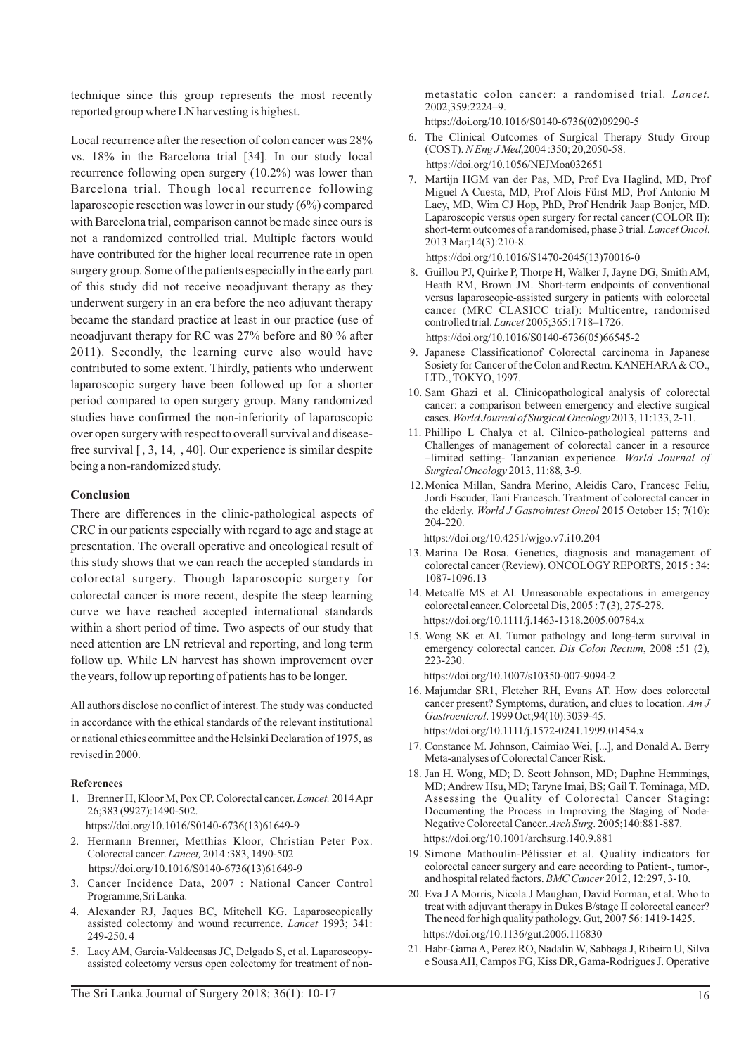technique since this group represents the most recently reported group where LN harvesting is highest.

Local recurrence after the resection of colon cancer was 28% vs. 18% in the Barcelona trial [34]. In our study local recurrence following open surgery (10.2%) was lower than Barcelona trial. Though local recurrence following laparoscopic resection was lower in our study (6%) compared with Barcelona trial, comparison cannot be made since ours is not a randomized controlled trial. Multiple factors would have contributed for the higher local recurrence rate in open surgery group. Some of the patients especially in the early part of this study did not receive neoadjuvant therapy as they underwent surgery in an era before the neo adjuvant therapy became the standard practice at least in our practice (use of neoadjuvant therapy for RC was 27% before and 80 % after 2011). Secondly, the learning curve also would have contributed to some extent. Thirdly, patients who underwent laparoscopic surgery have been followed up for a shorter period compared to open surgery group. Many randomized studies have confirmed the non-inferiority of laparoscopic over open surgery with respect to overall survival and diseasefree survival [ , 3, 14, , 40]. Our experience is similar despite being a non-randomized study.

## **Conclusion**

There are differences in the clinic-pathological aspects of CRC in our patients especially with regard to age and stage at presentation. The overall operative and oncological result of this study shows that we can reach the accepted standards in colorectal surgery. Though laparoscopic surgery for colorectal cancer is more recent, despite the steep learning curve we have reached accepted international standards within a short period of time. Two aspects of our study that need attention are LN retrieval and reporting, and long term follow up. While LN harvest has shown improvement over the years, follow up reporting of patients has to be longer.

All authors disclose no conflict of interest. The study was conducted in accordance with the ethical standards of the relevant institutional or national ethics committee and the Helsinki Declaration of 1975, as revised in 2000.

#### **References**

- 1. Brenner H, Kloor M, Pox CP. Colorectal cancer. *Lancet.* 2014 Apr 26;383 (9927):1490-502. https://doi.org/10.1016/S0140-6736(13)61649-9
- 2. Hermann Brenner, Metthias Kloor, Christian Peter Pox. Colorectal cancer. *Lancet,* 2014 :383, 1490-502 https://doi.org/10.1016/S0140-6736(13)61649-9
- 3. Cancer Incidence Data, 2007 : National Cancer Control Programme,Sri Lanka.
- 4. Alexander RJ, Jaques BC, Mitchell KG. Laparoscopically assisted colectomy and wound recurrence. *Lancet* 1993; 341: 249-250. 4
- 5. Lacy AM, Garcia-Valdecasas JC, Delgado S, et al. Laparoscopyassisted colectomy versus open colectomy for treatment of non-

metastatic colon cancer: a randomised trial. *Lancet.* 2002;359:2224–9.

https://doi.org/10.1016/S0140-6736(02)09290-5

- 6. The Clinical Outcomes of Surgical Therapy Study Group (COST). *N Eng J Med*,2004 :350; 20,2050-58. https://doi.org/10.1056/NEJMoa032651
- 7. Martijn HGM van der Pas, MD, Prof Eva Haglind, MD, Prof Miguel A Cuesta, MD, Prof Alois Fürst MD, Prof Antonio M Lacy, MD, Wim CJ Hop, PhD, Prof Hendrik Jaap Bonjer, MD. Laparoscopic versus open surgery for rectal cancer (COLOR II): short-term outcomes of a randomised, phase 3 trial. *Lancet Oncol*. 2013 Mar;14(3):210-8.

https://doi.org/10.1016/S1470-2045(13)70016-0

- 8. Guillou PJ, Quirke P, Thorpe H, Walker J, Jayne DG, Smith AM, Heath RM, Brown JM. Short-term endpoints of conventional versus laparoscopic-assisted surgery in patients with colorectal cancer (MRC CLASICC trial): Multicentre, randomised controlled trial. *Lancet* 2005;365:1718–1726. https://doi.org/10.1016/S0140-6736(05)66545-2
- 9. Japanese Classificationof Colorectal carcinoma in Japanese Sosiety for Cancer of the Colon and Rectm. KANEHARA & CO., LTD., TOKYO, 1997.
- 10. Sam Ghazi et al. Clinicopathological analysis of colorectal cancer: a comparison between emergency and elective surgical cases. *World Journal of Surgical Oncology* 2013, 11:133, 2-11.
- 11. Phillipo L Chalya et al. Cilnico-pathological patterns and Challenges of management of colorectal cancer in a resource –limited setting- Tanzanian experience. *World Journal of Surgical Oncology* 2013, 11:88, 3-9.
- 12. Monica Millan, Sandra Merino, Aleidis Caro, Francesc Feliu, Jordi Escuder, Tani Francesch. Treatment of colorectal cancer in the elderly. *World J Gastrointest Oncol* 2015 October 15; 7(10): 204-220.

https://doi.org/10.4251/wjgo.v7.i10.204

- 13. Marina De Rosa. Genetics, diagnosis and management of colorectal cancer (Review). ONCOLOGY REPORTS, 2015 : 34: 1087-1096.13
- 14. Metcalfe MS et Al. Unreasonable expectations in emergency colorectal cancer. Colorectal Dis, 2005 : 7 (3), 275-278. https://doi.org/10.1111/j.1463-1318.2005.00784.x
- 15. Wong SK et Al. Tumor pathology and long-term survival in emergency colorectal cancer. *Dis Colon Rectum*, 2008 :51 (2), 223-230.

https://doi.org/10.1007/s10350-007-9094-2

- 16. Majumdar SR1, Fletcher RH, Evans AT. How does colorectal cancer present? Symptoms, duration, and clues to location. *Am J Gastroenterol*. 1999 Oct;94(10):3039-45. https://doi.org/10.1111/j.1572-0241.1999.01454.x
- 17. Constance M. Johnson, Caimiao Wei, [...], and Donald A. Berry Meta-analyses of Colorectal Cancer Risk.
- 18. Jan H. Wong, MD; D. Scott Johnson, MD; Daphne Hemmings, MD; Andrew Hsu, MD; Taryne Imai, BS; Gail T. Tominaga, MD. Assessing the Quality of Colorectal Cancer Staging: Documenting the Process in Improving the Staging of Node-Negative Colorectal Cancer.*Arch Surg*. 2005;140:881-887. https://doi.org/10.1001/archsurg.140.9.881
- 19. Simone Mathoulin-Pélissier et al. Quality indicators for colorectal cancer surgery and care according to Patient-, tumor-, and hospital related factors. *BMC Cancer* 2012, 12:297, 3-10.
- 20. Eva J A Morris, Nicola J Maughan, David Forman, et al. Who to treat with adjuvant therapy in Dukes B/stage II colorectal cancer? The need for high quality pathology. Gut, 2007 56: 1419-1425. https://doi.org/10.1136/gut.2006.116830
- 21. Habr-Gama A, Perez RO, Nadalin W, Sabbaga J, Ribeiro U, Silva e Sousa AH, Campos FG, Kiss DR, Gama-Rodrigues J. Operative